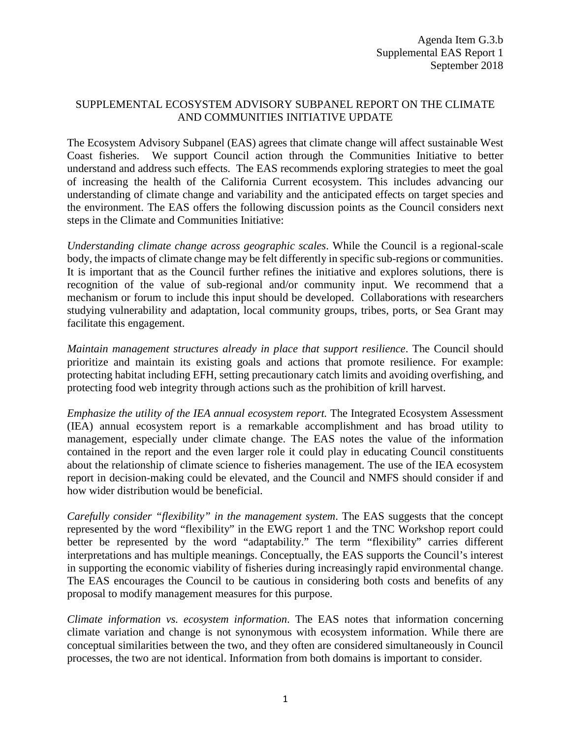## SUPPLEMENTAL ECOSYSTEM ADVISORY SUBPANEL REPORT ON THE CLIMATE AND COMMUNITIES INITIATIVE UPDATE

The Ecosystem Advisory Subpanel (EAS) agrees that climate change will affect sustainable West Coast fisheries. We support Council action through the Communities Initiative to better understand and address such effects. The EAS recommends exploring strategies to meet the goal of increasing the health of the California Current ecosystem. This includes advancing our understanding of climate change and variability and the anticipated effects on target species and the environment. The EAS offers the following discussion points as the Council considers next steps in the Climate and Communities Initiative:

*Understanding climate change across geographic scales*. While the Council is a regional-scale body, the impacts of climate change may be felt differently in specific sub-regions or communities. It is important that as the Council further refines the initiative and explores solutions, there is recognition of the value of sub-regional and/or community input. We recommend that a mechanism or forum to include this input should be developed. Collaborations with researchers studying vulnerability and adaptation, local community groups, tribes, ports, or Sea Grant may facilitate this engagement.

*Maintain management structures already in place that support resilience*. The Council should prioritize and maintain its existing goals and actions that promote resilience. For example: protecting habitat including EFH, setting precautionary catch limits and avoiding overfishing, and protecting food web integrity through actions such as the prohibition of krill harvest.

*Emphasize the utility of the IEA annual ecosystem report.* The Integrated Ecosystem Assessment (IEA) annual ecosystem report is a remarkable accomplishment and has broad utility to management, especially under climate change. The EAS notes the value of the information contained in the report and the even larger role it could play in educating Council constituents about the relationship of climate science to fisheries management. The use of the IEA ecosystem report in decision-making could be elevated, and the Council and NMFS should consider if and how wider distribution would be beneficial.

*Carefully consider "flexibility" in the management system*. The EAS suggests that the concept represented by the word "flexibility" in the EWG report 1 and the TNC Workshop report could better be represented by the word "adaptability." The term "flexibility" carries different interpretations and has multiple meanings. Conceptually, the EAS supports the Council's interest in supporting the economic viability of fisheries during increasingly rapid environmental change. The EAS encourages the Council to be cautious in considering both costs and benefits of any proposal to modify management measures for this purpose.

*Climate information vs. ecosystem information*. The EAS notes that information concerning climate variation and change is not synonymous with ecosystem information. While there are conceptual similarities between the two, and they often are considered simultaneously in Council processes, the two are not identical. Information from both domains is important to consider.